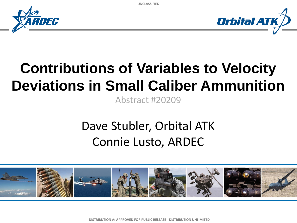



# **Contributions of Variables to Velocity Deviations in Small Caliber Ammunition**

Abstract #20209

## Dave Stubler, Orbital ATK Connie Lusto, ARDEC



**DISTRIBUTION A: APPROVED FOR PUBLIC RELEASE - DISTRIBUTION UNLIMITED**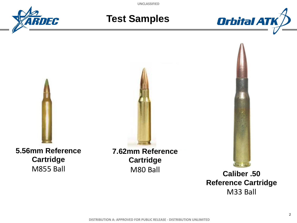

#### **Test Samples**



**5.56mm Reference Cartridge**  M855 Ball

**7.62mm Reference Cartridge**



M80 Ball **Caliber .50 Reference Cartridge**  M33 Ball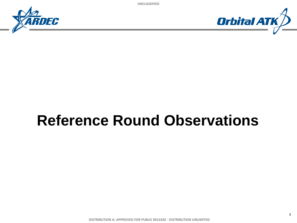



## **Reference Round Observations**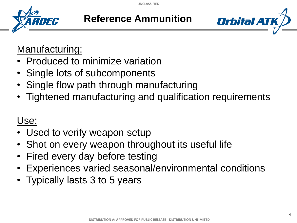

**Reference Ammunition**



### Manufacturing:

- Produced to minimize variation
- Single lots of subcomponents
- Single flow path through manufacturing
- Tightened manufacturing and qualification requirements

### Use:

- Used to verify weapon setup
- Shot on every weapon throughout its useful life
- Fired every day before testing
- Experiences varied seasonal/environmental conditions
- Typically lasts 3 to 5 years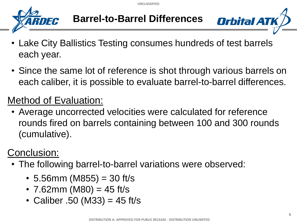

#### **Barrel-to-Barrel Differences**



- Lake City Ballistics Testing consumes hundreds of test barrels each year.
- Since the same lot of reference is shot through various barrels on each caliber, it is possible to evaluate barrel-to-barrel differences.

#### Method of Evaluation:

• Average uncorrected velocities were calculated for reference rounds fired on barrels containing between 100 and 300 rounds (cumulative).

- The following barrel-to-barrel variations were observed:
	- $\cdot$  5.56mm (M855) = 30 ft/s
	- $7.62$ mm (M80) = 45 ft/s
	- Caliber .50 (M33) = 45 ft/s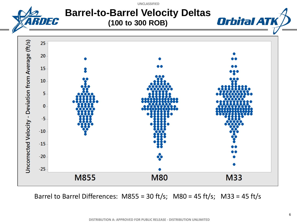

#### **Barrel-to-Barrel Velocity Deltas (100 to 300 ROB)**



Barrel to Barrel Differences: M855 = 30 ft/s; M80 = 45 ft/s; M33 = 45 ft/s

**Orbital ATK**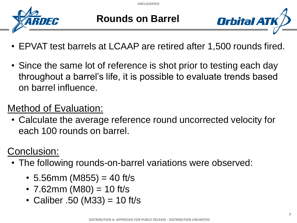

#### **Rounds on Barrel**



- EPVAT test barrels at LCAAP are retired after 1,500 rounds fired.
- Since the same lot of reference is shot prior to testing each day throughout a barrel's life, it is possible to evaluate trends based on barrel influence.

#### Method of Evaluation:

• Calculate the average reference round uncorrected velocity for each 100 rounds on barrel.

- The following rounds-on-barrel variations were observed:
	- $\cdot$  5.56mm (M855) = 40 ft/s
	- $7.62$ mm (M80) = 10 ft/s
	- Caliber .50 (M33) = 10 ft/s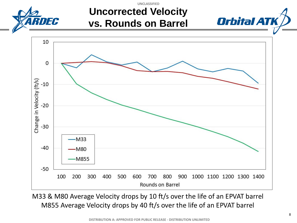

#### **UNCLASSIFIED Uncorrected Velocity vs. Rounds on Barrel**





M33 & M80 Average Velocity drops by 10 ft/s over the life of an EPVAT barrel M855 Average Velocity drops by 40 ft/s over the life of an EPVAT barrel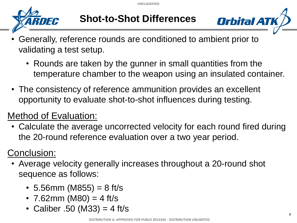

### **Shot-to-Shot Differences**



- Generally, reference rounds are conditioned to ambient prior to validating a test setup.
	- Rounds are taken by the gunner in small quantities from the temperature chamber to the weapon using an insulated container.
- The consistency of reference ammunition provides an excellent opportunity to evaluate shot-to-shot influences during testing.

#### Method of Evaluation:

• Calculate the average uncorrected velocity for each round fired during the 20-round reference evaluation over a two year period.

- Average velocity generally increases throughout a 20-round shot sequence as follows:
	- 5.56mm (M855) = 8 ft/s
	- 7.62mm (M80) = 4 ft/s
	- Caliber .50 (M33) = 4 ft/s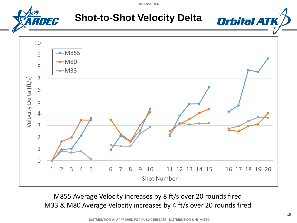

#### **Shot-to-Shot Velocity Delta**



#### M855 Average Velocity increases by 8 ft/s over 20 rounds fired M33 & M80 Average Velocity increases by 4 ft/s over 20 rounds fired

**Orbital ATK**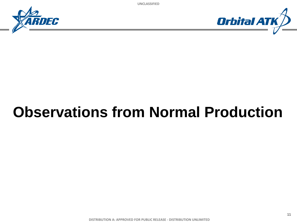



# **Observations from Normal Production**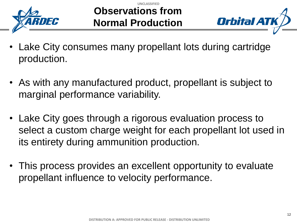



- Lake City consumes many propellant lots during cartridge production.
- As with any manufactured product, propellant is subject to marginal performance variability.
- Lake City goes through a rigorous evaluation process to select a custom charge weight for each propellant lot used in its entirety during ammunition production.
- This process provides an excellent opportunity to evaluate propellant influence to velocity performance.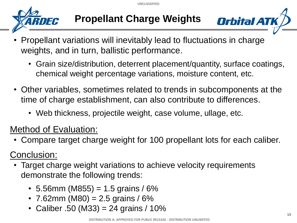

## **Propellant Charge Weights**



- Propellant variations will inevitably lead to fluctuations in charge weights, and in turn, ballistic performance.
	- Grain size/distribution, deterrent placement/quantity, surface coatings, chemical weight percentage variations, moisture content, etc.
- Other variables, sometimes related to trends in subcomponents at the time of charge establishment, can also contribute to differences.
	- Web thickness, projectile weight, case volume, ullage, etc.

#### Method of Evaluation:

• Compare target charge weight for 100 propellant lots for each caliber.

- Target charge weight variations to achieve velocity requirements demonstrate the following trends:
	- 5.56mm (M855) = 1.5 grains / 6%
	- 7.62mm (M80) = 2.5 grains / 6%
	- Caliber .50 (M33) = 24 grains /  $10\%$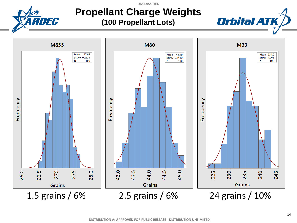#### **Propellant Charge Weights (100 Propellant Lots)**

RDEC

**UNCLASSIFIED**



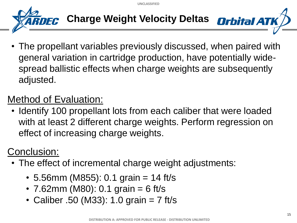

**Charge Weight Velocity Deltas**

• The propellant variables previously discussed, when paired with general variation in cartridge production, have potentially widespread ballistic effects when charge weights are subsequently adjusted.

### Method of Evaluation:

• Identify 100 propellant lots from each caliber that were loaded with at least 2 different charge weights. Perform regression on effect of increasing charge weights.

### Conclusion:

- The effect of incremental charge weight adjustments:
	- $\cdot$  5.56mm (M855): 0.1 grain = 14 ft/s
	- 7.62mm (M80): 0.1 grain = 6 ft/s
	- Caliber .50 (M33): 1.0 grain = 7 ft/s

**Orbital A**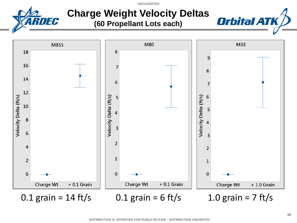

#### **Charge Weight Velocity Deltas (60 Propellant Lots each)**